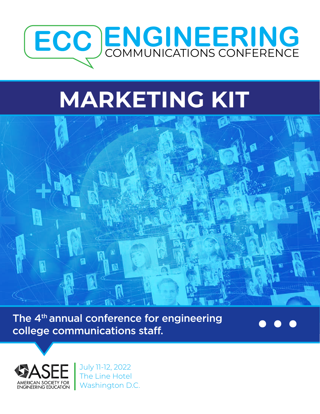

# **MARKETING KIT**



The 4<sup>th</sup> annual conference for engineering college communications staff.



July 11-12, 2022 The Line Hotel Washington D.C.